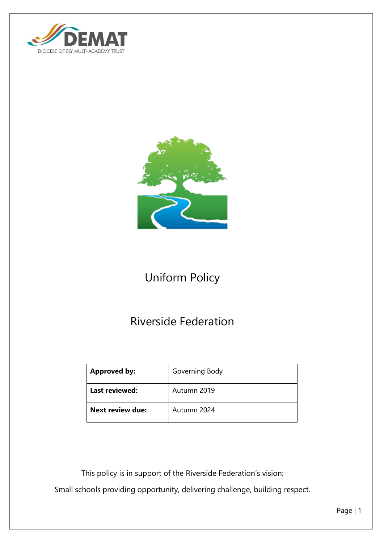



# Uniform Policy

# Riverside Federation

| <b>Approved by:</b>     | Governing Body |
|-------------------------|----------------|
| <b>Last reviewed:</b>   | Autumn 2019    |
| <b>Next review due:</b> | Autumn 2024    |

This policy is in support of the Riverside Federation's vision:

Small schools providing opportunity, delivering challenge, building respect.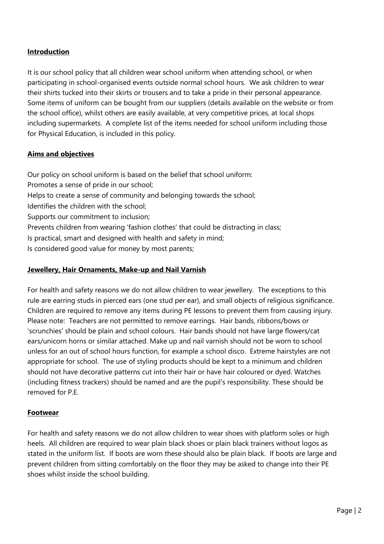## **Introduction**

It is our school policy that all children wear school uniform when attending school, or when participating in school-organised events outside normal school hours. We ask children to wear their shirts tucked into their skirts or trousers and to take a pride in their personal appearance. Some items of uniform can be bought from our suppliers (details available on the website or from the school office), whilst others are easily available, at very competitive prices, at local shops including supermarkets. A complete list of the items needed for school uniform including those for Physical Education, is included in this policy.

## **Aims and objectives**

Our policy on school uniform is based on the belief that school uniform: Promotes a sense of pride in our school; Helps to create a sense of community and belonging towards the school; Identifies the children with the school; Supports our commitment to inclusion; Prevents children from wearing 'fashion clothes' that could be distracting in class; Is practical, smart and designed with health and safety in mind;

Is considered good value for money by most parents;

#### **Jewellery, Hair Ornaments, Make-up and Nail Varnish**

For health and safety reasons we do not allow children to wear jewellery. The exceptions to this rule are earring studs in pierced ears (one stud per ear), and small objects of religious significance. Children are required to remove any items during PE lessons to prevent them from causing injury. Please note: Teachers are not permitted to remove earrings. Hair bands, ribbons/bows or 'scrunchies' should be plain and school colours. Hair bands should not have large flowers/cat ears/unicorn horns or similar attached. Make up and nail varnish should not be worn to school unless for an out of school hours function, for example a school disco. Extreme hairstyles are not appropriate for school. The use of styling products should be kept to a minimum and children should not have decorative patterns cut into their hair or have hair coloured or dyed. Watches (including fitness trackers) should be named and are the pupil's responsibility. These should be removed for P.F.

#### **Footwear**

For health and safety reasons we do not allow children to wear shoes with platform soles or high heels. All children are required to wear plain black shoes or plain black trainers without logos as stated in the uniform list. If boots are worn these should also be plain black. If boots are large and prevent children from sitting comfortably on the floor they may be asked to change into their PE shoes whilst inside the school building.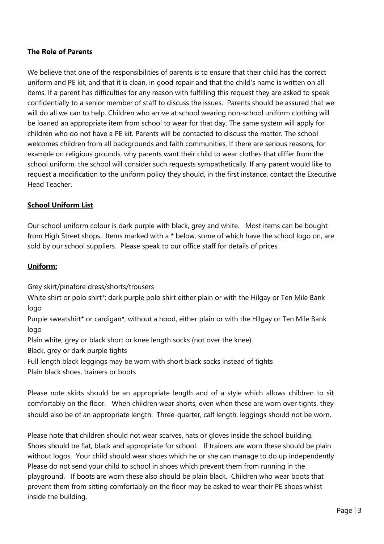### **The Role of Parents**

We believe that one of the responsibilities of parents is to ensure that their child has the correct uniform and PE kit, and that it is clean, in good repair and that the child's name is written on all items. If a parent has difficulties for any reason with fulfilling this request they are asked to speak confidentially to a senior member of staff to discuss the issues. Parents should be assured that we will do all we can to help. Children who arrive at school wearing non-school uniform clothing will be loaned an appropriate item from school to wear for that day. The same system will apply for children who do not have a PE kit. Parents will be contacted to discuss the matter. The school welcomes children from all backgrounds and faith communities. If there are serious reasons, for example on religious grounds, why parents want their child to wear clothes that differ from the school uniform, the school will consider such requests sympathetically. If any parent would like to request a modification to the uniform policy they should, in the first instance, contact the Executive Head Teacher.

## **School Uniform List**

Our school uniform colour is dark purple with black, grey and white. Most items can be bought from High Street shops. Items marked with a \* below, some of which have the school logo on, are sold by our school suppliers. Please speak to our office staff for details of prices.

#### **Uniform:**

Grey skirt/pinafore dress/shorts/trousers

White shirt or polo shirt\*; dark purple polo shirt either plain or with the Hilgay or Ten Mile Bank logo

Purple sweatshirt\* or cardigan\*, without a hood, either plain or with the Hilgay or Ten Mile Bank logo

Plain white, grey or black short or knee length socks (not over the knee)

Black, grey or dark purple tights

Full length black leggings may be worn with short black socks instead of tights

Plain black shoes, trainers or boots

Please note skirts should be an appropriate length and of a style which allows children to sit comfortably on the floor. When children wear shorts, even when these are worn over tights, they should also be of an appropriate length. Three-quarter, calf length, leggings should not be worn.

Please note that children should not wear scarves, hats or gloves inside the school building. Shoes should be flat, black and appropriate for school. If trainers are worn these should be plain without logos. Your child should wear shoes which he or she can manage to do up independently Please do not send your child to school in shoes which prevent them from running in the playground. If boots are worn these also should be plain black. Children who wear boots that prevent them from sitting comfortably on the floor may be asked to wear their PE shoes whilst inside the building.